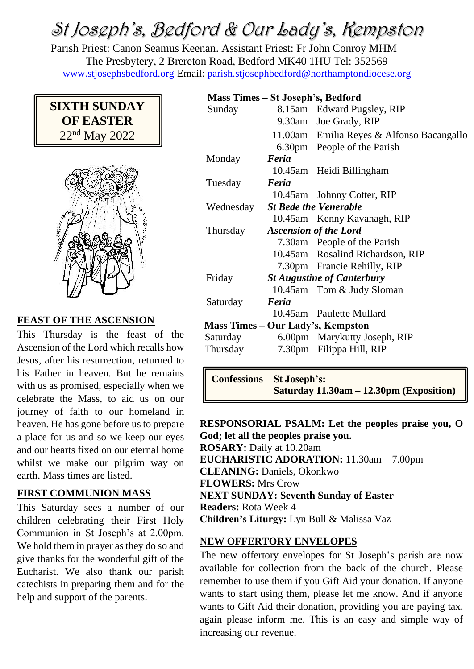# St Joseph's, Bedford & Our Lady's, Kempston

Parish Priest: Canon Seamus Keenan. Assistant Priest: Fr John Conroy MHM The Presbytery, 2 Brereton Road, Bedford MK40 1HU Tel: 352569 [www.stjosephsbedford.org](http://www.stjosephsbedford.org/) Email: [parish.stjosephbedford@northamptondiocese.org](mailto:parish.stjosephbedford@northamptondiocese.org)



### **FEAST OF THE ASCENSION**

This Thursday is the feast of the Ascension of the Lord which recalls how Jesus, after his resurrection, returned to his Father in heaven. But he remains with us as promised, especially when we celebrate the Mass, to aid us on our journey of faith to our homeland in heaven. He has gone before us to prepare a place for us and so we keep our eyes and our hearts fixed on our eternal home whilst we make our pilgrim way on earth. Mass times are listed.

#### **FIRST COMMUNION MASS**

This Saturday sees a number of our children celebrating their First Holy Communion in St Joseph's at 2.00pm. We hold them in prayer as they do so and give thanks for the wonderful gift of the Eucharist. We also thank our parish catechists in preparing them and for the help and support of the parents.

#### **Mass Times – St Joseph's, Bedford**

| Sunday    |                                   | 8.15am Edward Pugsley, RIP                |
|-----------|-----------------------------------|-------------------------------------------|
|           |                                   | 9.30am Joe Grady, RIP                     |
|           |                                   | 11.00am Emilia Reyes & Alfonso Bacangallo |
|           |                                   | 6.30pm People of the Parish               |
| Monday    | Feria                             |                                           |
|           |                                   | 10.45am Heidi Billingham                  |
| Tuesday   | Feria                             |                                           |
|           |                                   | 10.45am Johnny Cotter, RIP                |
| Wednesday | <b>St Bede the Venerable</b>      |                                           |
|           |                                   | 10.45am Kenny Kavanagh, RIP               |
| Thursday  | <b>Ascension of the Lord</b>      |                                           |
|           |                                   | 7.30am People of the Parish               |
|           |                                   | 10.45am Rosalind Richardson, RIP          |
|           |                                   | 7.30pm Francie Rehilly, RIP               |
| Friday    | <b>St Augustine of Canterbury</b> |                                           |
|           |                                   | 10.45am Tom & Judy Sloman                 |
| Saturday  | Feria                             |                                           |
|           |                                   | 10.45am Paulette Mullard                  |
|           |                                   | Mass Times – Our Lady's, Kempston         |
| Saturday  |                                   | 6.00pm Marykutty Joseph, RIP              |
| Thursday  |                                   | 7.30pm Filippa Hill, RIP                  |

**Confessions** – **St Joseph's: Saturday 11.30am – 12.30pm (Exposition)**

**RESPONSORIAL PSALM: Let the peoples praise you, O God; let all the peoples praise you. ROSARY:** Daily at 10.20am **EUCHARISTIC ADORATION:** 11.30am – 7.00pm **CLEANING:** Daniels, Okonkwo **FLOWERS:** Mrs Crow **NEXT SUNDAY: Seventh Sunday of Easter Readers:** Rota Week 4 **Children's Liturgy:** Lyn Bull & Malissa Vaz

#### **NEW OFFERTORY ENVELOPES**

The new offertory envelopes for St Joseph's parish are now available for collection from the back of the church. Please remember to use them if you Gift Aid your donation. If anyone wants to start using them, please let me know. And if anyone wants to Gift Aid their donation, providing you are paying tax, again please inform me. This is an easy and simple way of increasing our revenue.